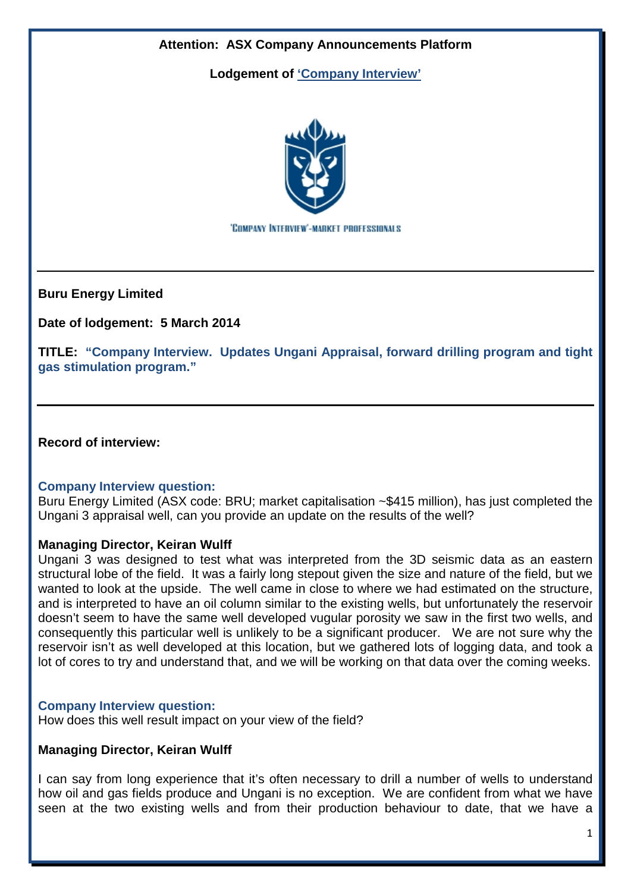

**Buru Energy Limited**

**Date of lodgement: 5 March 2014**

**TITLE: "Company Interview. Updates Ungani Appraisal, forward drilling program and tight gas stimulation program."**

**Record of interview:**

### **Company Interview question:**

Buru Energy Limited (ASX code: BRU; market capitalisation ~\$415 million), has just completed the Ungani 3 appraisal well, can you provide an update on the results of the well?

### **Managing Director, Keiran Wulff**

Ungani 3 was designed to test what was interpreted from the 3D seismic data as an eastern structural lobe of the field. It was a fairly long stepout given the size and nature of the field, but we wanted to look at the upside. The well came in close to where we had estimated on the structure, and is interpreted to have an oil column similar to the existing wells, but unfortunately the reservoir doesn't seem to have the same well developed vugular porosity we saw in the first two wells, and consequently this particular well is unlikely to be a significant producer. We are not sure why the reservoir isn't as well developed at this location, but we gathered lots of logging data, and took a lot of cores to try and understand that, and we will be working on that data over the coming weeks.

### **Company Interview question:**

How does this well result impact on your view of the field?

### **Managing Director, Keiran Wulff**

I can say from long experience that it's often necessary to drill a number of wells to understand how oil and gas fields produce and Ungani is no exception. We are confident from what we have seen at the two existing wells and from their production behaviour to date, that we have a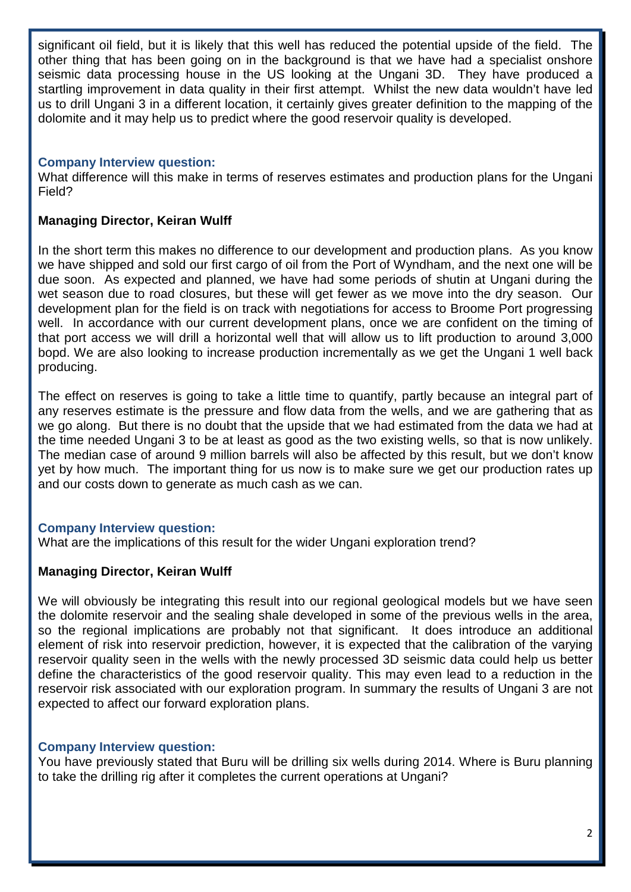significant oil field, but it is likely that this well has reduced the potential upside of the field. The other thing that has been going on in the background is that we have had a specialist onshore seismic data processing house in the US looking at the Ungani 3D. They have produced a startling improvement in data quality in their first attempt. Whilst the new data wouldn't have led us to drill Ungani 3 in a different location, it certainly gives greater definition to the mapping of the dolomite and it may help us to predict where the good reservoir quality is developed.

# **Company Interview question:**

What difference will this make in terms of reserves estimates and production plans for the Ungani Field?

# **Managing Director, Keiran Wulff**

In the short term this makes no difference to our development and production plans. As you know we have shipped and sold our first cargo of oil from the Port of Wyndham, and the next one will be due soon. As expected and planned, we have had some periods of shutin at Ungani during the wet season due to road closures, but these will get fewer as we move into the dry season. Our development plan for the field is on track with negotiations for access to Broome Port progressing well. In accordance with our current development plans, once we are confident on the timing of that port access we will drill a horizontal well that will allow us to lift production to around 3,000 bopd. We are also looking to increase production incrementally as we get the Ungani 1 well back producing.

The effect on reserves is going to take a little time to quantify, partly because an integral part of any reserves estimate is the pressure and flow data from the wells, and we are gathering that as we go along. But there is no doubt that the upside that we had estimated from the data we had at the time needed Ungani 3 to be at least as good as the two existing wells, so that is now unlikely. The median case of around 9 million barrels will also be affected by this result, but we don't know yet by how much. The important thing for us now is to make sure we get our production rates up and our costs down to generate as much cash as we can.

# **Company Interview question:**

What are the implications of this result for the wider Ungani exploration trend?

# **Managing Director, Keiran Wulff**

We will obviously be integrating this result into our regional geological models but we have seen the dolomite reservoir and the sealing shale developed in some of the previous wells in the area, so the regional implications are probably not that significant. It does introduce an additional element of risk into reservoir prediction, however, it is expected that the calibration of the varying reservoir quality seen in the wells with the newly processed 3D seismic data could help us better define the characteristics of the good reservoir quality. This may even lead to a reduction in the reservoir risk associated with our exploration program. In summary the results of Ungani 3 are not expected to affect our forward exploration plans.

### **Company Interview question:**

You have previously stated that Buru will be drilling six wells during 2014. Where is Buru planning to take the drilling rig after it completes the current operations at Ungani?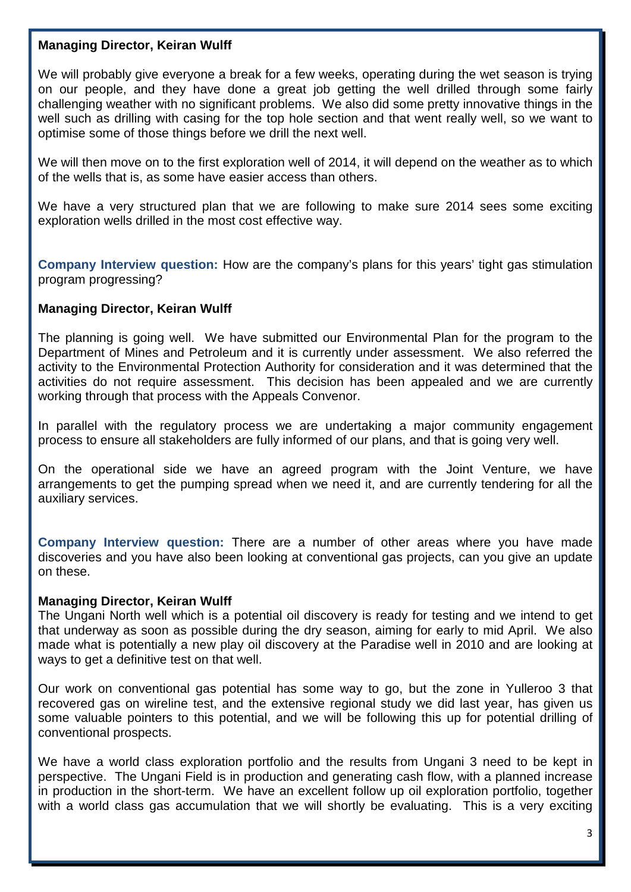#### **Managing Director, Keiran Wulff**

We will probably give everyone a break for a few weeks, operating during the wet season is trying on our people, and they have done a great job getting the well drilled through some fairly challenging weather with no significant problems. We also did some pretty innovative things in the well such as drilling with casing for the top hole section and that went really well, so we want to optimise some of those things before we drill the next well.

We will then move on to the first exploration well of 2014, it will depend on the weather as to which of the wells that is, as some have easier access than others.

We have a very structured plan that we are following to make sure 2014 sees some exciting exploration wells drilled in the most cost effective way.

**Company Interview question:** How are the company's plans for this years' tight gas stimulation program progressing?

### **Managing Director, Keiran Wulff**

The planning is going well. We have submitted our Environmental Plan for the program to the Department of Mines and Petroleum and it is currently under assessment. We also referred the activity to the Environmental Protection Authority for consideration and it was determined that the activities do not require assessment. This decision has been appealed and we are currently working through that process with the Appeals Convenor.

In parallel with the regulatory process we are undertaking a major community engagement process to ensure all stakeholders are fully informed of our plans, and that is going very well.

On the operational side we have an agreed program with the Joint Venture, we have arrangements to get the pumping spread when we need it, and are currently tendering for all the auxiliary services.

**Company Interview question:** There are a number of other areas where you have made discoveries and you have also been looking at conventional gas projects, can you give an update on these.

#### **Managing Director, Keiran Wulff**

The Ungani North well which is a potential oil discovery is ready for testing and we intend to get that underway as soon as possible during the dry season, aiming for early to mid April. We also made what is potentially a new play oil discovery at the Paradise well in 2010 and are looking at ways to get a definitive test on that well.

Our work on conventional gas potential has some way to go, but the zone in Yulleroo 3 that recovered gas on wireline test, and the extensive regional study we did last year, has given us some valuable pointers to this potential, and we will be following this up for potential drilling of conventional prospects.

We have a world class exploration portfolio and the results from Ungani 3 need to be kept in perspective. The Ungani Field is in production and generating cash flow, with a planned increase in production in the short-term. We have an excellent follow up oil exploration portfolio, together with a world class gas accumulation that we will shortly be evaluating. This is a very exciting